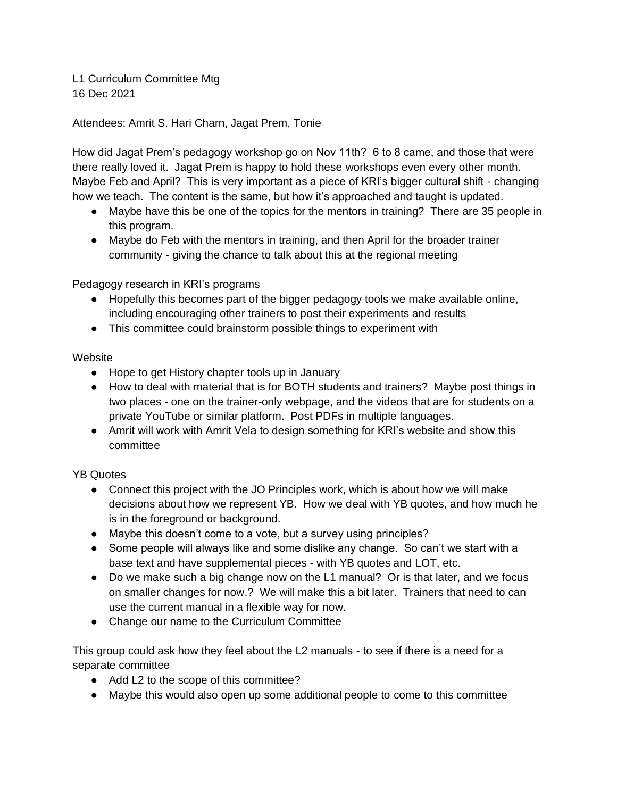L1 Curriculum Committee Mtg 16 Dec 2021

Attendees: Amrit S. Hari Charn, Jagat Prem, Tonie

How did Jagat Prem's pedagogy workshop go on Nov 11th? 6 to 8 came, and those that were there really loved it. Jagat Prem is happy to hold these workshops even every other month. Maybe Feb and April? This is very important as a piece of KRI's bigger cultural shift - changing how we teach. The content is the same, but how it's approached and taught is updated.

- Maybe have this be one of the topics for the mentors in training? There are 35 people in this program.
- Maybe do Feb with the mentors in training, and then April for the broader trainer community - giving the chance to talk about this at the regional meeting

Pedagogy research in KRI's programs

- Hopefully this becomes part of the bigger pedagogy tools we make available online, including encouraging other trainers to post their experiments and results
- This committee could brainstorm possible things to experiment with

## **Website**

- Hope to get History chapter tools up in January
- How to deal with material that is for BOTH students and trainers? Maybe post things in two places - one on the trainer-only webpage, and the videos that are for students on a private YouTube or similar platform. Post PDFs in multiple languages.
- Amrit will work with Amrit Vela to design something for KRI's website and show this committee

YB Quotes

- Connect this project with the JO Principles work, which is about how we will make decisions about how we represent YB. How we deal with YB quotes, and how much he is in the foreground or background.
- Maybe this doesn't come to a vote, but a survey using principles?
- Some people will always like and some dislike any change. So can't we start with a base text and have supplemental pieces - with YB quotes and LOT, etc.
- Do we make such a big change now on the L1 manual? Or is that later, and we focus on smaller changes for now.? We will make this a bit later. Trainers that need to can use the current manual in a flexible way for now.
- Change our name to the Curriculum Committee

This group could ask how they feel about the L2 manuals - to see if there is a need for a separate committee

- Add L2 to the scope of this committee?
- Maybe this would also open up some additional people to come to this committee